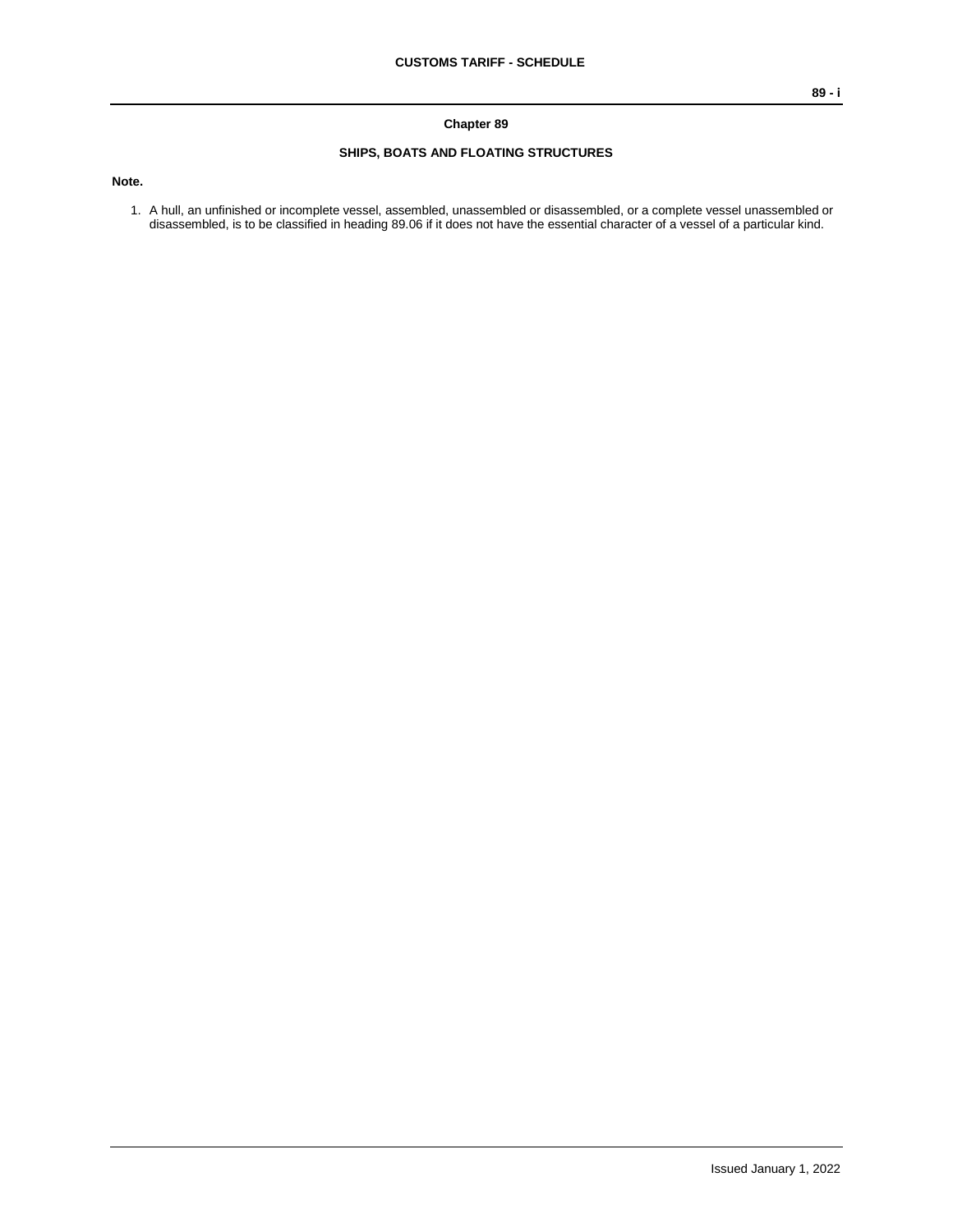## **Chapter 89**

## **SHIPS, BOATS AND FLOATING STRUCTURES**

**Note.**

1. A hull, an unfinished or incomplete vessel, assembled, unassembled or disassembled, or a complete vessel unassembled or disassembled, is to be classified in heading 89.06 if it does not have the essential character of a vessel of a particular kind.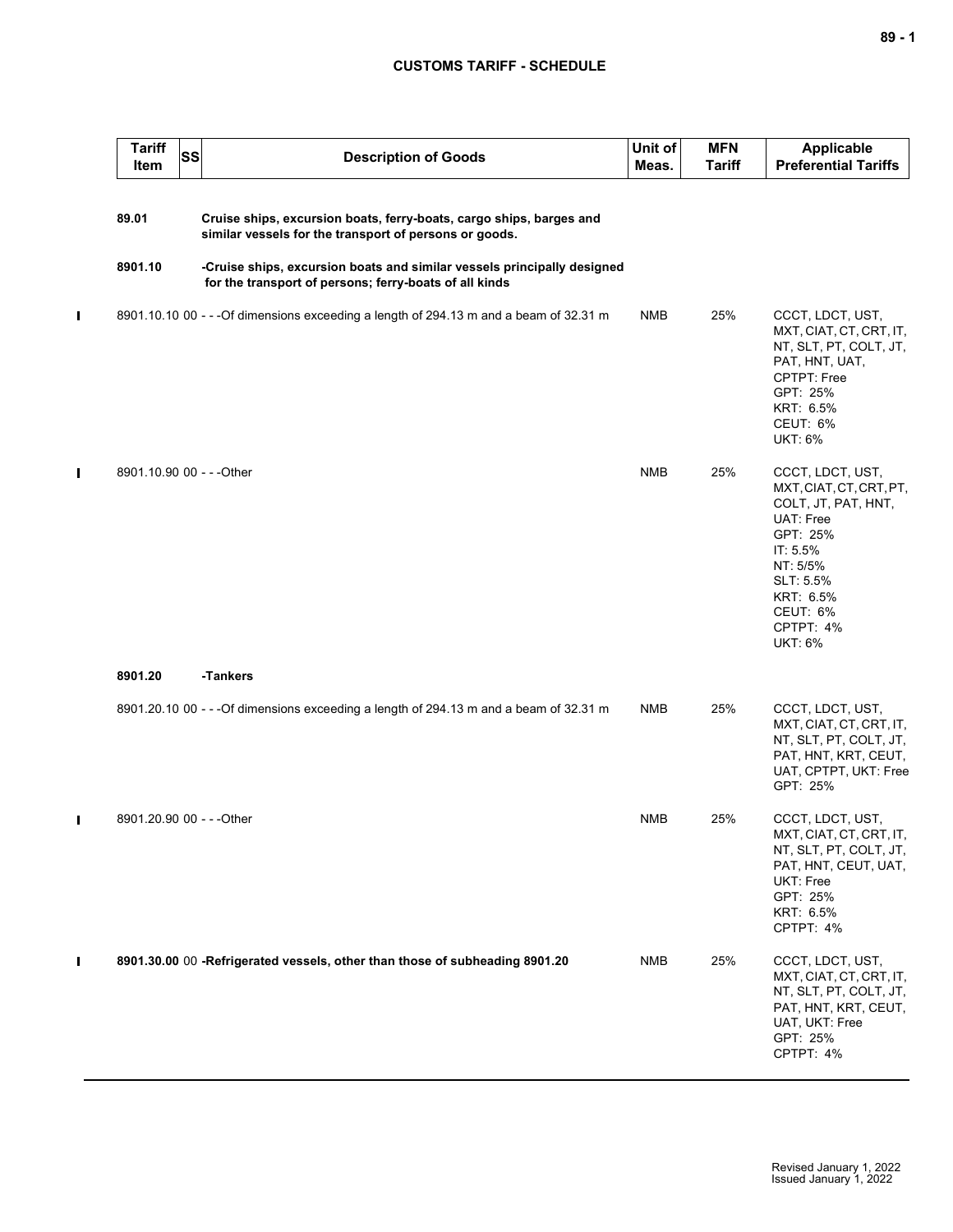## **CUSTOMS TARIFF - SCHEDULE**

|                | <b>Tariff</b><br>SS<br><b>Item</b> | <b>Description of Goods</b>                                                                                                       | Unit of<br>Meas. | <b>MFN</b><br><b>Tariff</b> | <b>Applicable</b><br><b>Preferential Tariffs</b>                                                                                                                                         |
|----------------|------------------------------------|-----------------------------------------------------------------------------------------------------------------------------------|------------------|-----------------------------|------------------------------------------------------------------------------------------------------------------------------------------------------------------------------------------|
|                | 89.01                              | Cruise ships, excursion boats, ferry-boats, cargo ships, barges and<br>similar vessels for the transport of persons or goods.     |                  |                             |                                                                                                                                                                                          |
|                | 8901.10                            | -Cruise ships, excursion boats and similar vessels principally designed<br>for the transport of persons; ferry-boats of all kinds |                  |                             |                                                                                                                                                                                          |
| $\blacksquare$ |                                    | 8901.10.10 00 - - - Of dimensions exceeding a length of 294.13 m and a beam of 32.31 m                                            | NMB              | 25%                         | CCCT, LDCT, UST,<br>MXT, CIAT, CT, CRT, IT,<br>NT, SLT, PT, COLT, JT,<br>PAT, HNT, UAT,<br>CPTPT: Free<br>GPT: 25%<br>KRT: 6.5%<br>CEUT: 6%<br><b>UKT: 6%</b>                            |
| Ш              | 8901.10.90 00 - - - Other          |                                                                                                                                   | <b>NMB</b>       | 25%                         | CCCT, LDCT, UST,<br>MXT, CIAT, CT, CRT, PT,<br>COLT, JT, PAT, HNT,<br>UAT: Free<br>GPT: 25%<br>IT: 5.5%<br>NT: 5/5%<br>SLT: 5.5%<br>KRT: 6.5%<br>CEUT: 6%<br>CPTPT: 4%<br><b>UKT: 6%</b> |
|                | 8901.20                            | -Tankers                                                                                                                          |                  |                             |                                                                                                                                                                                          |
|                |                                    | 8901.20.10 00 - - - Of dimensions exceeding a length of 294.13 m and a beam of 32.31 m                                            | <b>NMB</b>       | 25%                         | CCCT, LDCT, UST,<br>MXT, CIAT, CT, CRT, IT,<br>NT, SLT, PT, COLT, JT,<br>PAT, HNT, KRT, CEUT,<br>UAT, CPTPT, UKT: Free<br>GPT: 25%                                                       |
| $\blacksquare$ | 8901.20.90 00 - - - Other          |                                                                                                                                   | <b>NMB</b>       | 25%                         | CCCT, LDCT, UST,<br>MXT, CIAT, CT, CRT, IT,<br>NT, SLT, PT, COLT, JT,<br>PAT, HNT, CEUT, UAT,<br>UKT: Free<br>GPT: 25%<br>KRT: 6.5%<br>CPTPT: 4%                                         |
| $\mathbf{I}$   |                                    | 8901.30.00 00 -Refrigerated vessels, other than those of subheading 8901.20                                                       | <b>NMB</b>       | 25%                         | CCCT, LDCT, UST,<br>MXT, CIAT, CT, CRT, IT,<br>NT, SLT, PT, COLT, JT,<br>PAT, HNT, KRT, CEUT,<br>UAT, UKT: Free<br>GPT: 25%<br>CPTPT: 4%                                                 |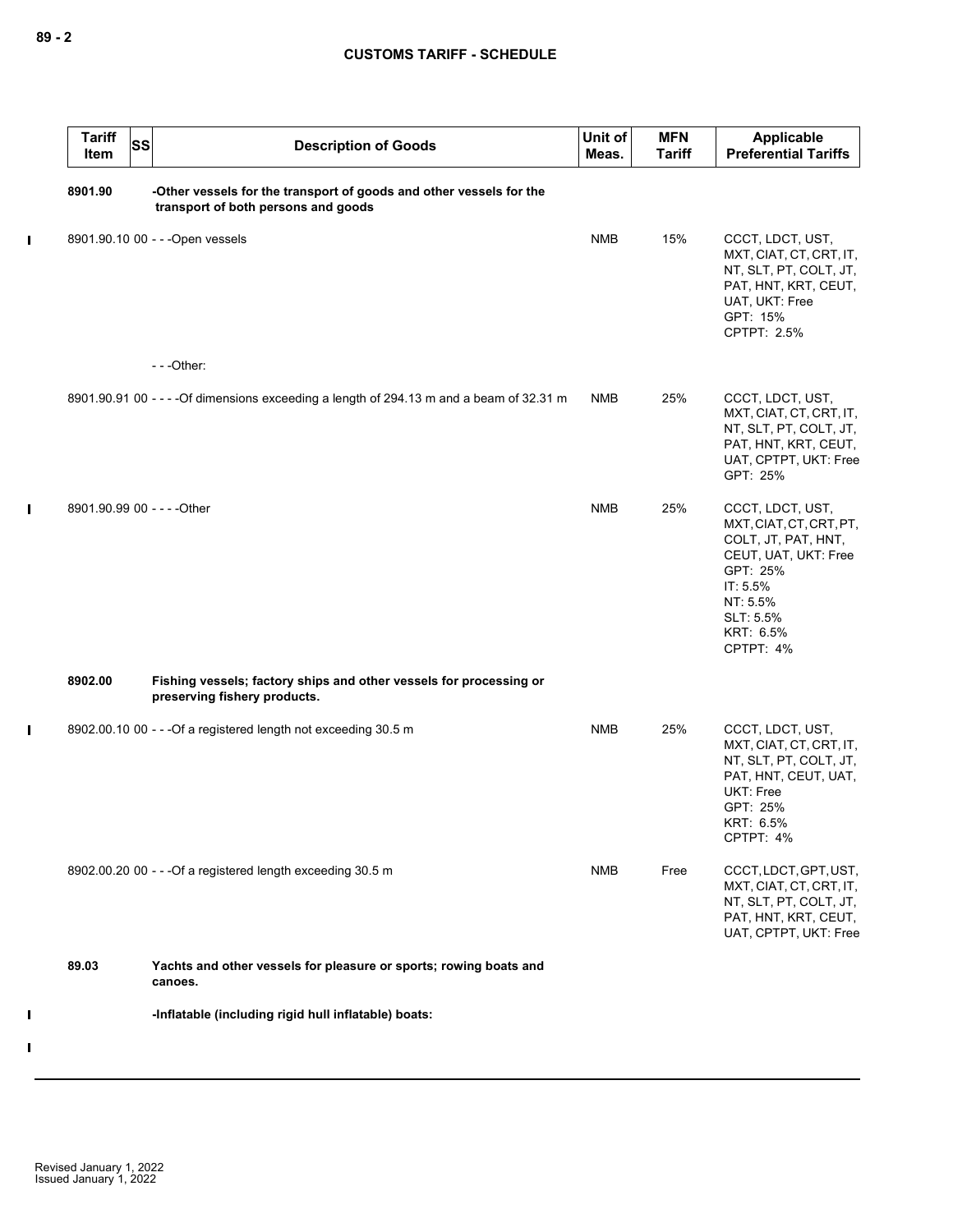|              | <b>Tariff</b><br>Item       | SS | <b>Description of Goods</b>                                                                                | Unit of<br>Meas. | <b>MFN</b><br><b>Tariff</b> | Applicable<br><b>Preferential Tariffs</b>                                                                                                                             |
|--------------|-----------------------------|----|------------------------------------------------------------------------------------------------------------|------------------|-----------------------------|-----------------------------------------------------------------------------------------------------------------------------------------------------------------------|
|              | 8901.90                     |    | -Other vessels for the transport of goods and other vessels for the<br>transport of both persons and goods |                  |                             |                                                                                                                                                                       |
| $\mathbf{I}$ |                             |    | 8901.90.10 00 - - - Open vessels                                                                           | <b>NMB</b>       | 15%                         | CCCT, LDCT, UST,<br>MXT, CIAT, CT, CRT, IT,<br>NT, SLT, PT, COLT, JT,<br>PAT, HNT, KRT, CEUT,<br>UAT, UKT: Free<br>GPT: 15%<br>CPTPT: 2.5%                            |
|              |                             |    | $--$ Other:                                                                                                |                  |                             |                                                                                                                                                                       |
|              |                             |    | 8901.90.91 00 - - - - Of dimensions exceeding a length of 294.13 m and a beam of 32.31 m                   | <b>NMB</b>       | 25%                         | CCCT, LDCT, UST,<br>MXT, CIAT, CT, CRT, IT,<br>NT, SLT, PT, COLT, JT,<br>PAT, HNT, KRT, CEUT,<br>UAT, CPTPT, UKT: Free<br>GPT: 25%                                    |
| $\mathbf{I}$ | 8901.90.99 00 - - - - Other |    |                                                                                                            | <b>NMB</b>       | 25%                         | CCCT, LDCT, UST,<br>MXT, CIAT, CT, CRT, PT,<br>COLT, JT, PAT, HNT,<br>CEUT, UAT, UKT: Free<br>GPT: 25%<br>IT: 5.5%<br>NT: 5.5%<br>SLT: 5.5%<br>KRT: 6.5%<br>CPTPT: 4% |
|              | 8902.00                     |    | Fishing vessels; factory ships and other vessels for processing or<br>preserving fishery products.         |                  |                             |                                                                                                                                                                       |
| L            |                             |    | 8902.00.10 00 - - - Of a registered length not exceeding 30.5 m                                            | <b>NMB</b>       | 25%                         | CCCT, LDCT, UST,<br>MXT, CIAT, CT, CRT, IT,<br>NT, SLT, PT, COLT, JT,<br>PAT, HNT, CEUT, UAT,<br>UKT: Free<br>GPT: 25%<br>KRT: 6.5%<br>CPTPT: 4%                      |
|              |                             |    | 8902.00.20 00 - - - Of a registered length exceeding 30.5 m                                                | <b>NMB</b>       | Free                        | CCCT, LDCT, GPT, UST,<br>MXT, CIAT, CT, CRT, IT,<br>NT, SLT, PT, COLT, JT,<br>PAT, HNT, KRT, CEUT,<br>UAT, CPTPT, UKT: Free                                           |
|              | 89.03                       |    | Yachts and other vessels for pleasure or sports; rowing boats and<br>canoes.                               |                  |                             |                                                                                                                                                                       |
| Ш            |                             |    | -Inflatable (including rigid hull inflatable) boats:                                                       |                  |                             |                                                                                                                                                                       |
| Ш            |                             |    |                                                                                                            |                  |                             |                                                                                                                                                                       |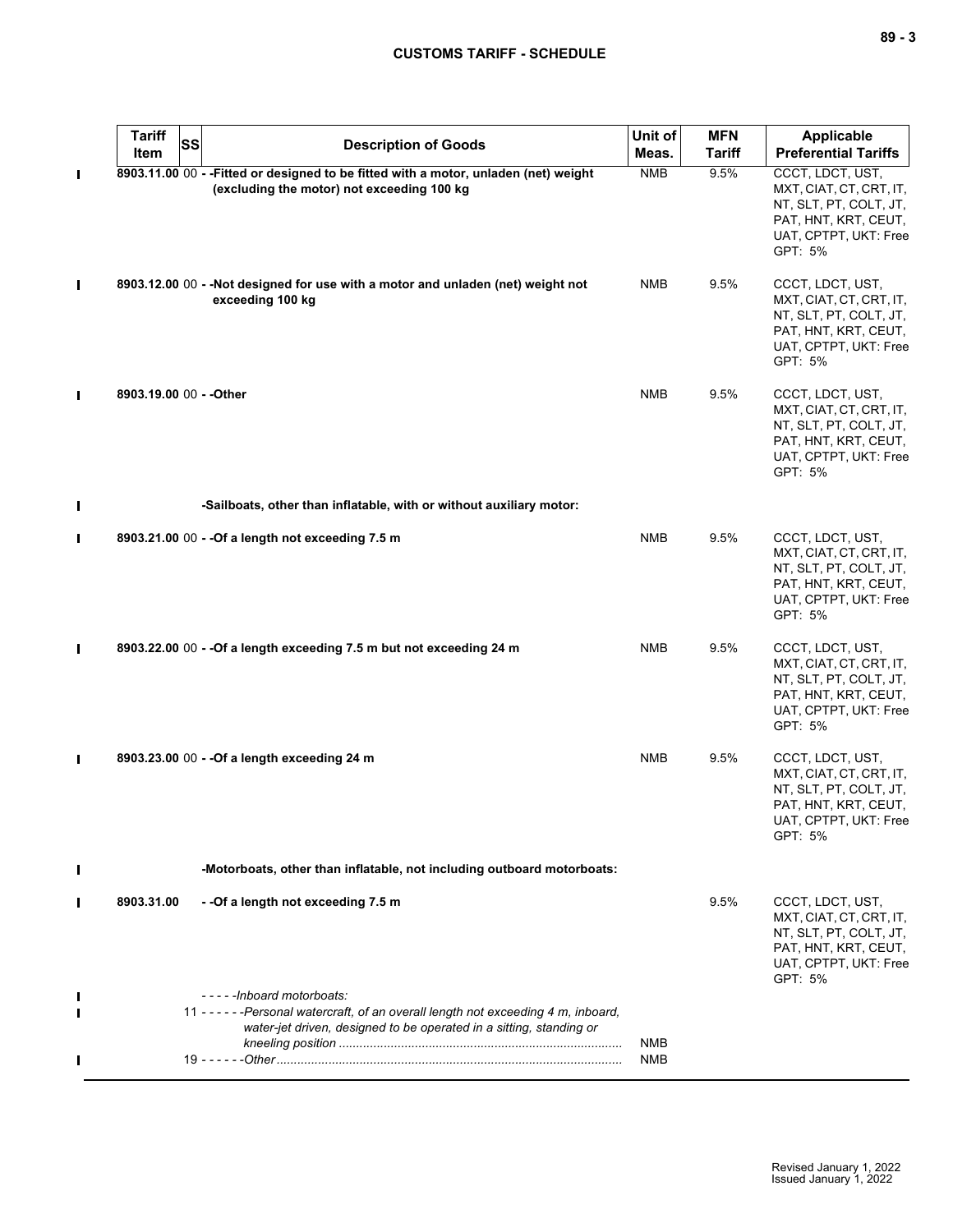## **CUSTOMS TARIFF - SCHEDULE**

| $\sim$<br>.,<br>۰. |  | v<br>۰. |
|--------------------|--|---------|
|--------------------|--|---------|

|              | <b>Tariff</b><br><b>SS</b> | <b>Description of Goods</b>                                                                                                                                                             | Unit of    | <b>MFN</b>    | <b>Applicable</b>                                                                                                                 |
|--------------|----------------------------|-----------------------------------------------------------------------------------------------------------------------------------------------------------------------------------------|------------|---------------|-----------------------------------------------------------------------------------------------------------------------------------|
|              | Item                       |                                                                                                                                                                                         | Meas.      | <b>Tariff</b> | <b>Preferential Tariffs</b>                                                                                                       |
| П            |                            | 8903.11.00 00 - - Fitted or designed to be fitted with a motor, unladen (net) weight<br>(excluding the motor) not exceeding 100 kg                                                      | <b>NMB</b> | 9.5%          | CCCT, LDCT, UST,<br>MXT, CIAT, CT, CRT, IT,<br>NT, SLT, PT, COLT, JT,<br>PAT, HNT, KRT, CEUT,<br>UAT, CPTPT, UKT: Free<br>GPT: 5% |
| П            |                            | 8903.12.00 00 - - Not designed for use with a motor and unladen (net) weight not<br>exceeding 100 kg                                                                                    | <b>NMB</b> | 9.5%          | CCCT, LDCT, UST,<br>MXT, CIAT, CT, CRT, IT,<br>NT, SLT, PT, COLT, JT,<br>PAT, HNT, KRT, CEUT,<br>UAT, CPTPT, UKT: Free<br>GPT: 5% |
| П            | 8903.19.00 00 - - Other    |                                                                                                                                                                                         | <b>NMB</b> | 9.5%          | CCCT, LDCT, UST,<br>MXT, CIAT, CT, CRT, IT,<br>NT, SLT, PT, COLT, JT,<br>PAT, HNT, KRT, CEUT,<br>UAT, CPTPT, UKT: Free<br>GPT: 5% |
| Ш            |                            | -Sailboats, other than inflatable, with or without auxiliary motor:                                                                                                                     |            |               |                                                                                                                                   |
| П            |                            | 8903.21.00 00 - - Of a length not exceeding 7.5 m                                                                                                                                       | <b>NMB</b> | 9.5%          | CCCT, LDCT, UST,<br>MXT, CIAT, CT, CRT, IT,<br>NT, SLT, PT, COLT, JT,<br>PAT, HNT, KRT, CEUT,<br>UAT, CPTPT, UKT: Free<br>GPT: 5% |
| $\mathbf{I}$ |                            | 8903.22.00 00 - - Of a length exceeding 7.5 m but not exceeding 24 m                                                                                                                    | <b>NMB</b> | 9.5%          | CCCT, LDCT, UST,<br>MXT, CIAT, CT, CRT, IT,<br>NT, SLT, PT, COLT, JT,<br>PAT, HNT, KRT, CEUT,<br>UAT, CPTPT, UKT: Free<br>GPT: 5% |
| П            |                            | 8903.23.00 00 - - Of a length exceeding 24 m                                                                                                                                            | <b>NMB</b> | 9.5%          | CCCT, LDCT, UST,<br>MXT, CIAT, CT, CRT, IT,<br>NT, SLT, PT, COLT, JT,<br>PAT, HNT, KRT, CEUT,<br>UAT, CPTPT, UKT: Free<br>GPT: 5% |
|              |                            | -Motorboats, other than inflatable, not including outboard motorboats:                                                                                                                  |            |               |                                                                                                                                   |
|              | 8903.31.00                 | - - Of a length not exceeding 7.5 m                                                                                                                                                     |            | 9.5%          | CCCT, LDCT, UST,<br>MXT, CIAT, CT, CRT, IT,<br>NT, SLT, PT, COLT, JT,<br>PAT, HNT, KRT, CEUT,<br>UAT, CPTPT, UKT: Free<br>GPT: 5% |
|              |                            | -----Inboard motorboats:<br>11 - - - - - - Personal watercraft, of an overall length not exceeding 4 m, inboard,<br>water-jet driven, designed to be operated in a sitting, standing or |            |               |                                                                                                                                   |
|              |                            |                                                                                                                                                                                         | NMB<br>NMB |               |                                                                                                                                   |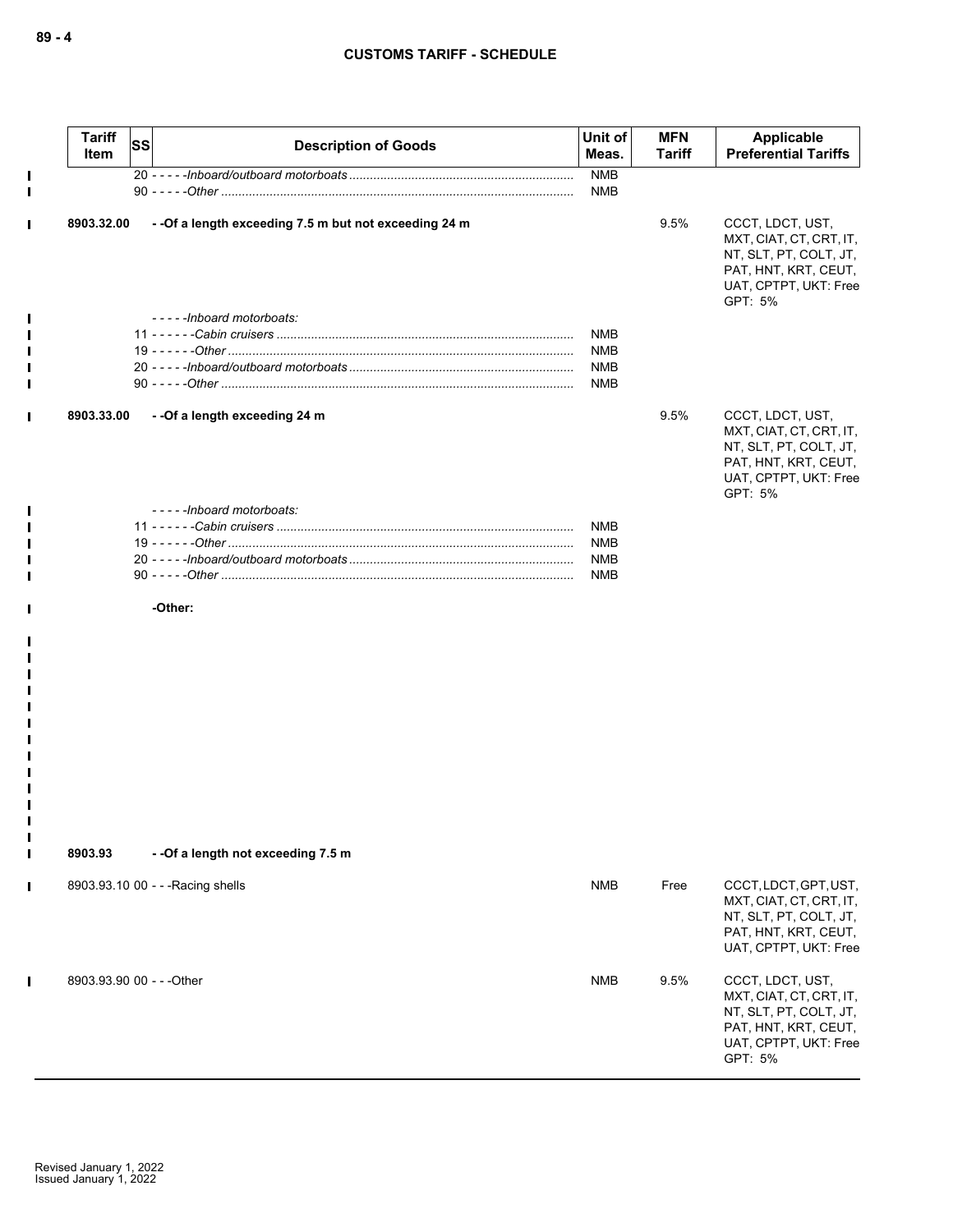|                | <b>Tariff</b><br>Item     | SS | <b>Description of Goods</b>                            | Unit of<br>Meas.  | <b>MFN</b><br><b>Tariff</b> | Applicable<br><b>Preferential Tariffs</b>                                                                                         |
|----------------|---------------------------|----|--------------------------------------------------------|-------------------|-----------------------------|-----------------------------------------------------------------------------------------------------------------------------------|
| $\blacksquare$ |                           |    |                                                        | <b>NMB</b><br>NMB |                             |                                                                                                                                   |
|                | 8903.32.00                |    | - - Of a length exceeding 7.5 m but not exceeding 24 m |                   | 9.5%                        | CCCT, LDCT, UST,<br>MXT, CIAT, CT, CRT, IT,<br>NT, SLT, PT, COLT, JT,<br>PAT, HNT, KRT, CEUT,<br>UAT, CPTPT, UKT: Free<br>GPT: 5% |
|                |                           |    | -----Inboard motorboats:                               |                   |                             |                                                                                                                                   |
|                |                           |    |                                                        | <b>NMB</b>        |                             |                                                                                                                                   |
|                |                           |    |                                                        | <b>NMB</b>        |                             |                                                                                                                                   |
|                |                           |    |                                                        | NMB               |                             |                                                                                                                                   |
|                |                           |    |                                                        | NMB               |                             |                                                                                                                                   |
|                | 8903.33.00                |    | - - Of a length exceeding 24 m                         |                   | 9.5%                        | CCCT, LDCT, UST,<br>MXT, CIAT, CT, CRT, IT,<br>NT, SLT, PT, COLT, JT,<br>PAT, HNT, KRT, CEUT,<br>UAT, CPTPT, UKT: Free<br>GPT: 5% |
|                |                           |    | -----Inboard motorboats:                               |                   |                             |                                                                                                                                   |
|                |                           |    |                                                        | <b>NMB</b>        |                             |                                                                                                                                   |
|                |                           |    |                                                        | <b>NMB</b>        |                             |                                                                                                                                   |
|                |                           |    |                                                        | <b>NMB</b>        |                             |                                                                                                                                   |
|                |                           |    |                                                        | NMB               |                             |                                                                                                                                   |
|                |                           |    | -Other:                                                |                   |                             |                                                                                                                                   |
| ш<br>Ш         |                           |    |                                                        |                   |                             |                                                                                                                                   |
| $\blacksquare$ | 8903.93                   |    | --Of a length not exceeding 7.5 m                      |                   |                             |                                                                                                                                   |
| Ι              |                           |    | 8903.93.10 00 - - - Racing shells                      | <b>NMB</b>        | Free                        | CCCT, LDCT, GPT, UST,<br>MXT, CIAT, CT, CRT, IT,<br>NT, SLT, PT, COLT, JT,<br>PAT, HNT, KRT, CEUT,<br>UAT, CPTPT, UKT: Free       |
|                | 8903.93.90 00 - - - Other |    |                                                        | <b>NMB</b>        | 9.5%                        | CCCT, LDCT, UST,                                                                                                                  |

MXT, CIAT, CT, CRT, IT, NT, SLT, PT, COLT, JT, PAT, HNT, KRT, CEUT, UAT, CPTPT, UKT: Free

GPT: 5%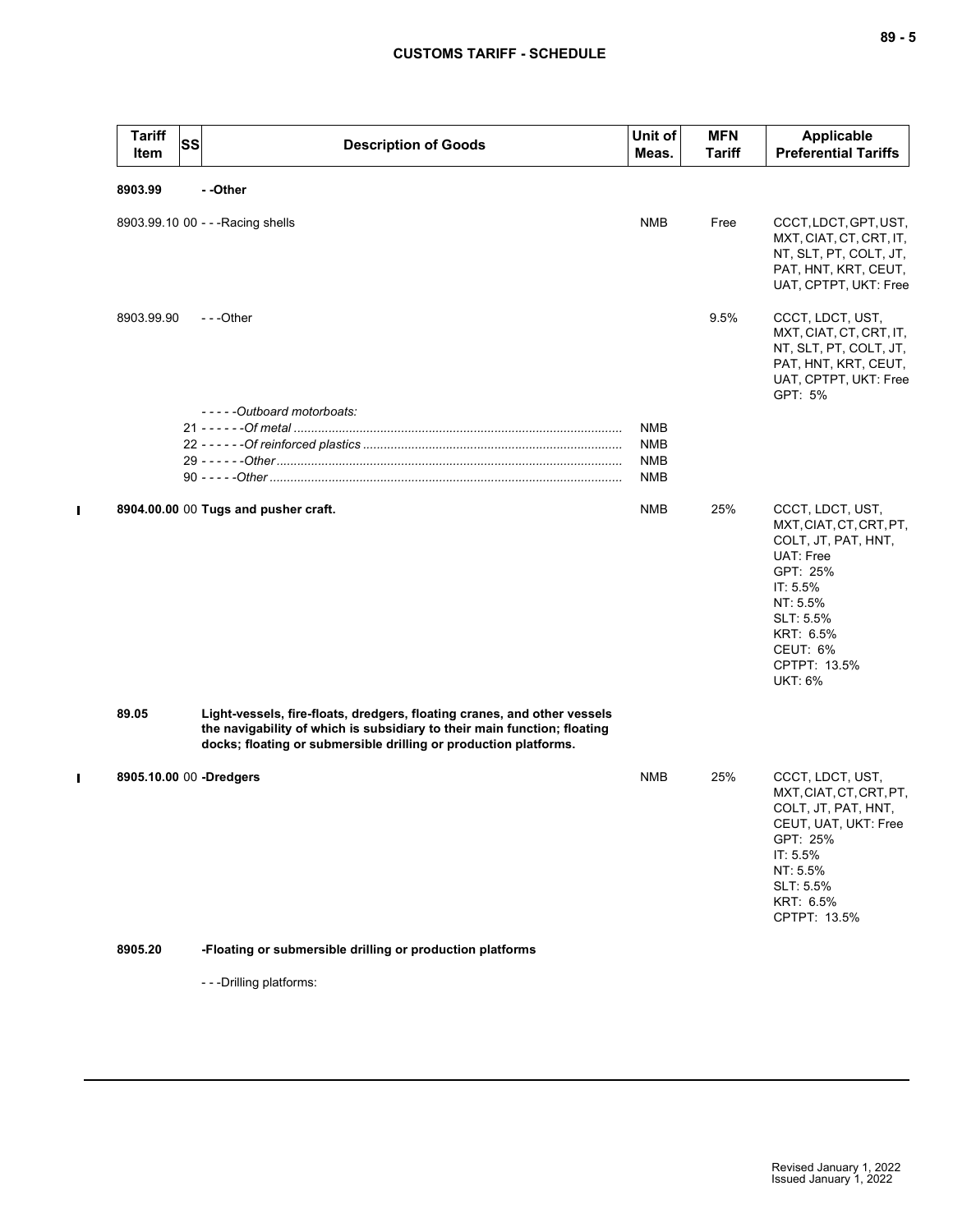| <b>Tariff</b><br>Item   | SS | <b>Description of Goods</b>                                                                                                                                                                                              | Unit of<br>Meas. | <b>MFN</b><br>Tariff | Applicable<br><b>Preferential Tariffs</b>                                                                                                                                                   |
|-------------------------|----|--------------------------------------------------------------------------------------------------------------------------------------------------------------------------------------------------------------------------|------------------|----------------------|---------------------------------------------------------------------------------------------------------------------------------------------------------------------------------------------|
| 8903.99                 |    | - -Other                                                                                                                                                                                                                 |                  |                      |                                                                                                                                                                                             |
|                         |    | 8903.99.10 00 - - - Racing shells                                                                                                                                                                                        | <b>NMB</b>       | Free                 | CCCT, LDCT, GPT, UST,<br>MXT, CIAT, CT, CRT, IT,<br>NT, SLT, PT, COLT, JT,<br>PAT, HNT, KRT, CEUT,<br>UAT, CPTPT, UKT: Free                                                                 |
| 8903.99.90              |    | ---Other                                                                                                                                                                                                                 |                  | 9.5%                 | CCCT, LDCT, UST,<br>MXT, CIAT, CT, CRT, IT,<br>NT, SLT, PT, COLT, JT,<br>PAT, HNT, KRT, CEUT,<br>UAT, CPTPT, UKT: Free<br>GPT: 5%                                                           |
|                         |    | -----Outboard motorboats:                                                                                                                                                                                                |                  |                      |                                                                                                                                                                                             |
|                         |    |                                                                                                                                                                                                                          | <b>NMB</b>       |                      |                                                                                                                                                                                             |
|                         |    |                                                                                                                                                                                                                          | <b>NMB</b>       |                      |                                                                                                                                                                                             |
|                         |    |                                                                                                                                                                                                                          | <b>NMB</b>       |                      |                                                                                                                                                                                             |
|                         |    |                                                                                                                                                                                                                          | <b>NMB</b>       |                      |                                                                                                                                                                                             |
|                         |    | 8904.00.00 00 Tugs and pusher craft.                                                                                                                                                                                     | <b>NMB</b>       | 25%                  | CCCT, LDCT, UST,<br>MXT, CIAT, CT, CRT, PT,<br>COLT, JT, PAT, HNT,<br>UAT: Free<br>GPT: 25%<br>IT: 5.5%<br>NT: 5.5%<br>SLT: 5.5%<br>KRT: 6.5%<br>CEUT: 6%<br>CPTPT: 13.5%<br><b>UKT: 6%</b> |
| 89.05                   |    | Light-vessels, fire-floats, dredgers, floating cranes, and other vessels<br>the navigability of which is subsidiary to their main function; floating<br>docks; floating or submersible drilling or production platforms. |                  |                      |                                                                                                                                                                                             |
| 8905.10.00 00 -Dredgers |    |                                                                                                                                                                                                                          | <b>NMB</b>       | 25%                  | CCCT, LDCT, UST,<br>MXT, CIAT, CT, CRT, PT,<br>COLT, JT, PAT, HNT,<br>CEUT, UAT, UKT: Free<br>GPT: 25%<br>IT: 5.5%<br>NT: 5.5%<br>SLT: 5.5%<br>KRT: 6.5%<br>CPTPT: 13.5%                    |
| 8905.20                 |    | -Floating or submersible drilling or production platforms                                                                                                                                                                |                  |                      |                                                                                                                                                                                             |

- - -Drilling platforms:

 $\mathbf I$ 

 $\mathbf{I}$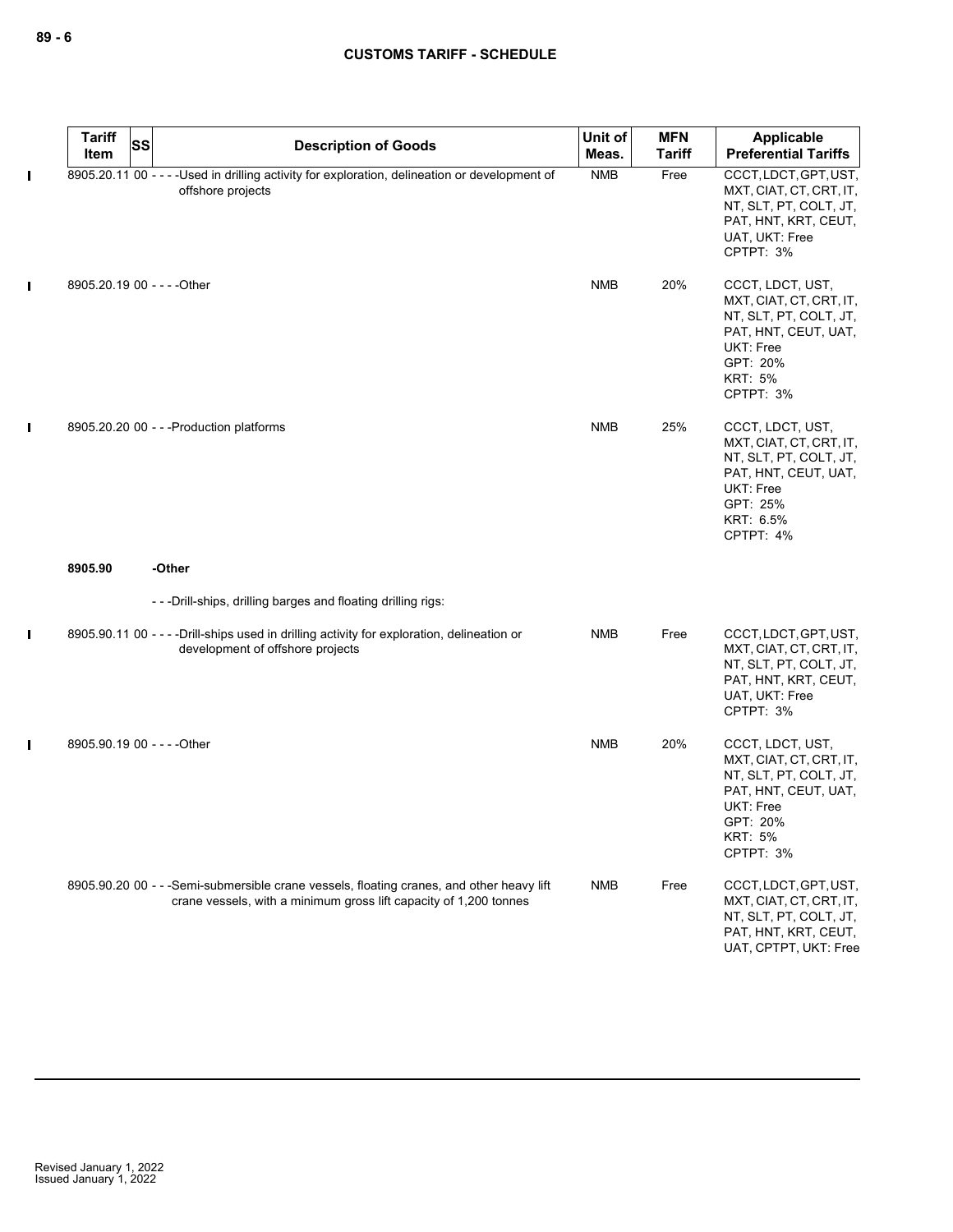|              | <b>Tariff</b><br><b>SS</b><br>Item | <b>Description of Goods</b>                                                                                                                                    | Unit of<br>Meas. | <b>MFN</b><br><b>Tariff</b> | Applicable<br><b>Preferential Tariffs</b>                                                                                                             |
|--------------|------------------------------------|----------------------------------------------------------------------------------------------------------------------------------------------------------------|------------------|-----------------------------|-------------------------------------------------------------------------------------------------------------------------------------------------------|
| $\mathbf{I}$ |                                    | 8905.20.11 00 - - - - Used in drilling activity for exploration, delineation or development of<br>offshore projects                                            | <b>NMB</b>       | Free                        | CCCT, LDCT, GPT, UST,<br>MXT, CIAT, CT, CRT, IT,<br>NT, SLT, PT, COLT, JT,<br>PAT, HNT, KRT, CEUT,<br>UAT, UKT: Free<br>CPTPT: 3%                     |
| П            | 8905.20.19 00 - - - - Other        |                                                                                                                                                                | <b>NMB</b>       | 20%                         | CCCT, LDCT, UST,<br>MXT, CIAT, CT, CRT, IT,<br>NT, SLT, PT, COLT, JT,<br>PAT, HNT, CEUT, UAT,<br>UKT: Free<br>GPT: 20%<br><b>KRT: 5%</b><br>CPTPT: 3% |
| $\mathbf{I}$ |                                    | 8905.20.20 00 - - - Production platforms                                                                                                                       | <b>NMB</b>       | 25%                         | CCCT, LDCT, UST,<br>MXT, CIAT, CT, CRT, IT,<br>NT, SLT, PT, COLT, JT,<br>PAT, HNT, CEUT, UAT,<br>UKT: Free<br>GPT: 25%<br>KRT: 6.5%<br>CPTPT: 4%      |
|              | 8905.90                            | -Other                                                                                                                                                         |                  |                             |                                                                                                                                                       |
|              |                                    | ---Drill-ships, drilling barges and floating drilling rigs:                                                                                                    |                  |                             |                                                                                                                                                       |
| L            |                                    | 8905.90.11 00 - - - - Drill-ships used in drilling activity for exploration, delineation or<br>development of offshore projects                                | <b>NMB</b>       | Free                        | CCCT, LDCT, GPT, UST,<br>MXT, CIAT, CT, CRT, IT,<br>NT, SLT, PT, COLT, JT,<br>PAT, HNT, KRT, CEUT,<br>UAT, UKT: Free<br>CPTPT: 3%                     |
| $\mathbf{I}$ | 8905.90.19 00 - - - - Other        |                                                                                                                                                                | <b>NMB</b>       | 20%                         | CCCT, LDCT, UST,<br>MXT, CIAT, CT, CRT, IT,<br>NT, SLT, PT, COLT, JT,<br>PAT, HNT, CEUT, UAT,<br>UKT: Free<br>GPT: 20%<br><b>KRT: 5%</b><br>CPTPT: 3% |
|              |                                    | 8905.90.20 00 - - - Semi-submersible crane vessels, floating cranes, and other heavy lift<br>crane vessels, with a minimum gross lift capacity of 1,200 tonnes | <b>NMB</b>       | Free                        | CCCT, LDCT, GPT, UST,<br>MXT, CIAT, CT, CRT, IT,<br>NT, SLT, PT, COLT, JT,<br>PAT, HNT, KRT, CEUT,<br>UAT, CPTPT, UKT: Free                           |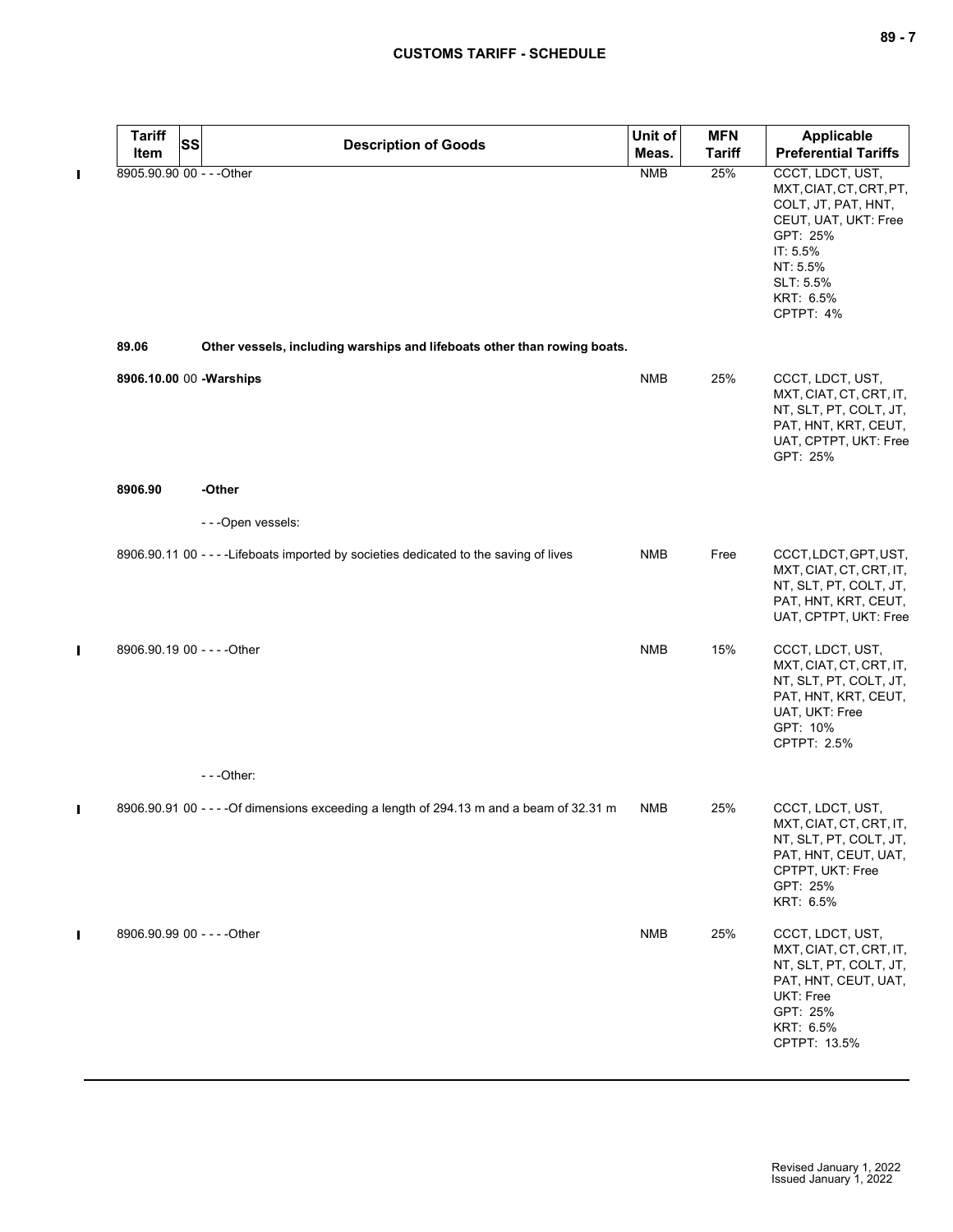|   | <b>Tariff</b><br><b>SS</b><br>Item | <b>Description of Goods</b>                                                              | Unit of<br>Meas. | <b>MFN</b><br><b>Tariff</b> | <b>Applicable</b><br><b>Preferential Tariffs</b>                                                                                                                      |
|---|------------------------------------|------------------------------------------------------------------------------------------|------------------|-----------------------------|-----------------------------------------------------------------------------------------------------------------------------------------------------------------------|
| П | 8905.90.90 00 - - - Other          |                                                                                          | <b>NMB</b>       | 25%                         | CCCT, LDCT, UST,<br>MXT, CIAT, CT, CRT, PT,<br>COLT, JT, PAT, HNT,<br>CEUT, UAT, UKT: Free<br>GPT: 25%<br>IT: 5.5%<br>NT: 5.5%<br>SLT: 5.5%<br>KRT: 6.5%<br>CPTPT: 4% |
|   | 89.06                              | Other vessels, including warships and lifeboats other than rowing boats.                 |                  |                             |                                                                                                                                                                       |
|   | 8906.10.00 00 - Warships           |                                                                                          | <b>NMB</b>       | 25%                         | CCCT, LDCT, UST,<br>MXT, CIAT, CT, CRT, IT,<br>NT, SLT, PT, COLT, JT,<br>PAT, HNT, KRT, CEUT,<br>UAT, CPTPT, UKT: Free<br>GPT: 25%                                    |
|   | 8906.90                            | -Other                                                                                   |                  |                             |                                                                                                                                                                       |
|   |                                    | - - - Open vessels:                                                                      |                  |                             |                                                                                                                                                                       |
|   |                                    | 8906.90.11 00 - - - - Lifeboats imported by societies dedicated to the saving of lives   | <b>NMB</b>       | Free                        | CCCT, LDCT, GPT, UST,<br>MXT, CIAT, CT, CRT, IT,<br>NT, SLT, PT, COLT, JT,<br>PAT, HNT, KRT, CEUT,<br>UAT, CPTPT, UKT: Free                                           |
| Π | 8906.90.19 00 - - - - Other        |                                                                                          | <b>NMB</b>       | 15%                         | CCCT, LDCT, UST,<br>MXT, CIAT, CT, CRT, IT,<br>NT, SLT, PT, COLT, JT,<br>PAT, HNT, KRT, CEUT,<br>UAT, UKT: Free<br>GPT: 10%<br>CPTPT: 2.5%                            |
|   |                                    | $- -$ Other:                                                                             |                  |                             |                                                                                                                                                                       |
| ı |                                    | 8906.90.91 00 - - - - Of dimensions exceeding a length of 294.13 m and a beam of 32.31 m | <b>NMB</b>       | 25%                         | CCCT, LDCT, UST,<br>MXT, CIAT, CT, CRT, IT,<br>NT, SLT, PT, COLT, JT,<br>PAT, HNT, CEUT, UAT,<br>CPTPT, UKT: Free<br>GPT: 25%<br>KRT: 6.5%                            |
|   | 8906.90.99 00 - - - - Other        |                                                                                          | <b>NMB</b>       | 25%                         | CCCT, LDCT, UST,<br>MXT, CIAT, CT, CRT, IT,<br>NT, SLT, PT, COLT, JT,<br>PAT, HNT, CEUT, UAT,<br>UKT: Free<br>GPT: 25%<br>KRT: 6.5%<br>CPTPT: 13.5%                   |